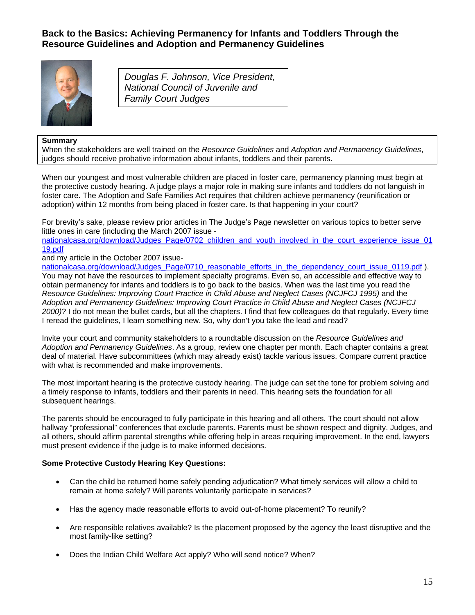## **Back to the Basics: Achieving Permanency for Infants and Toddlers Through the Resource Guidelines and Adoption and Permanency Guidelines**



*Douglas F. Johnson, Vice President, National Council of Juvenile and Family Court Judges*

## **Summary**

When the stakeholders are well trained on the *Resource Guidelines* and *Adoption and Permanency Guidelines*, judges should receive probative information about infants, toddlers and their parents.

When our youngest and most vulnerable children are placed in foster care, permanency planning must begin at the protective custody hearing. A judge plays a major role in making sure infants and toddlers do not languish in foster care. The Adoption and Safe Families Act requires that children achieve permanency (reunification or adoption) within 12 months from being placed in foster care. Is that happening in your court?

For brevity's sake, please review prior articles in The Judge's Page newsletter on various topics to better serve little ones in care (including the March 2007 issue -

[nationalcasa.org/download/Judges\\_Page/0702\\_children\\_and\\_youth\\_involved\\_in\\_the\\_court\\_experience\\_issue\\_01](http://www.nationalcasa.org/download/Judges_Page/0702_children_and_youth_involved_in_the_court_experience_issue_0119.pdf) [19.pdf](http://www.nationalcasa.org/download/Judges_Page/0702_children_and_youth_involved_in_the_court_experience_issue_0119.pdf) 

and my article in the October 2007 issue-

[nationalcasa.org/download/Judges\\_Page/0710\\_reasonable\\_efforts\\_in\\_the\\_dependency\\_court\\_issue\\_0119.pdf](http://www.nationalcasa.org/download/Judges_Page/0710_reasonable_efforts_in_the_dependency_court_issue_0119.pdf) ). You may not have the resources to implement specialty programs. Even so, an accessible and effective way to obtain permanency for infants and toddlers is to go back to the basics. When was the last time you read the *Resource Guidelines: Improving Court Practice in Child Abuse and Neglect Cases (NCJFCJ 1995)* and the *Adoption and Permanency Guidelines: Improving Court Practice in Child Abuse and Neglect Cases (NCJFCJ 2000)*? I do not mean the bullet cards, but all the chapters. I find that few colleagues do that regularly. Every time I reread the guidelines, I learn something new. So, why don't you take the lead and read?

Invite your court and community stakeholders to a roundtable discussion on the *Resource Guidelines and Adoption and Permanency Guidelines*. As a group, review one chapter per month. Each chapter contains a great deal of material. Have subcommittees (which may already exist) tackle various issues. Compare current practice with what is recommended and make improvements.

The most important hearing is the protective custody hearing. The judge can set the tone for problem solving and a timely response to infants, toddlers and their parents in need. This hearing sets the foundation for all subsequent hearings.

The parents should be encouraged to fully participate in this hearing and all others. The court should not allow hallway "professional" conferences that exclude parents. Parents must be shown respect and dignity. Judges, and all others, should affirm parental strengths while offering help in areas requiring improvement. In the end, lawyers must present evidence if the judge is to make informed decisions.

## **Some Protective Custody Hearing Key Questions:**

- Can the child be returned home safely pending adjudication? What timely services will allow a child to remain at home safely? Will parents voluntarily participate in services?
- Has the agency made reasonable efforts to avoid out-of-home placement? To reunify?
- Are responsible relatives available? Is the placement proposed by the agency the least disruptive and the most family-like setting?
- Does the Indian Child Welfare Act apply? Who will send notice? When?